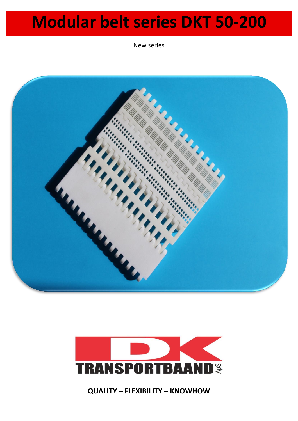New series





**QUALITY – FLEXIBILITY – KNOWHOW**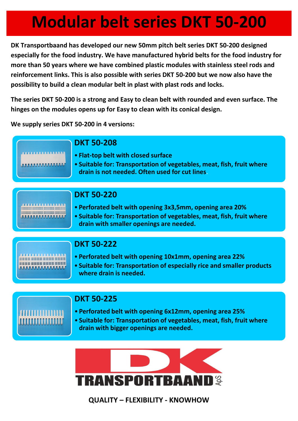**DK Transportbaand has developed our new 50mm pitch belt series DKT 50-200 designed especially for the food industry. We have manufactured hybrid belts for the food industry for more than 50 years where we have combined plastic modules with stainless steel rods and reinforcement links. This is also possible with series DKT 50-200 but we now also have the possibility to build a clean modular belt in plast with plast rods and locks.**

**The series DKT 50-200 is a strong and Easy to clean belt with rounded and even surface. The hinges on the modules opens up for Easy to clean with its conical design.** 

**We supply series DKT 50-200 in 4 versions:**

#### **DKT 50-208**

- **Flat-top belt with closed surface**
- **Suitable for: Transportation of vegetables, meat, fish, fruit where drain is not needed. Often used for cut lines**.

| <b><i><b><i><u>CELLESS CREATED</u></i></b></i></b> |  |  |  |  |  |  |  |  |  |  |  |  |  |  |  |  |  |  |
|----------------------------------------------------|--|--|--|--|--|--|--|--|--|--|--|--|--|--|--|--|--|--|
|                                                    |  |  |  |  |  |  |  |  |  |  |  |  |  |  |  |  |  |  |
|                                                    |  |  |  |  |  |  |  |  |  |  |  |  |  |  |  |  |  |  |

#### **DKT 50-220**

- **Perforated belt with opening 3x3,5mm, opening area 20%**
- **Suitable for: Transportation of vegetables, meat, fish, fruit where drain with smaller openings are needed.**



### **DKT 50-222**

- **Perforated belt with opening 10x1mm, opening area 22%**
- **Suitable for: Transportation of especially rice and smaller products where drain is needed.**



### **DKT 50-225**

- **Perforated belt with opening 6x12mm, opening area 25%**
- **Suitable for: Transportation of vegetables, meat, fish, fruit where drain with bigger openings are needed.**



**QUALITY – FLEXIBILITY - KNOWHOW**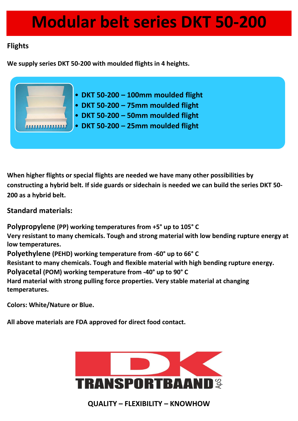### **Flights**

**We supply series DKT 50-200 with moulded flights in 4 heights.**



**When higher flights or special flights are needed we have many other possibilities by constructing a hybrid belt. If side guards or sidechain is needed we can build the series DKT 50- 200 as a hybrid belt.**

**Standard materials:**

**Polypropylene (PP) working temperatures from +5° up to 105° C Very resistant to many chemicals. Tough and strong material with low bending rupture energy at low temperatures. Polyethylene (PEHD) working temperature from -60° up to 66° C Resistant to many chemicals. Tough and flexible material with high bending rupture energy. Polyacetal (POM) working temperature from -40° up to 90° C Hard material with strong pulling force properties. Very stable material at changing temperatures.**

**Colors: White/Nature or Blue.**

**All above materials are FDA approved for direct food contact.**



**QUALITY – FLEXIBILITY – KNOWHOW**